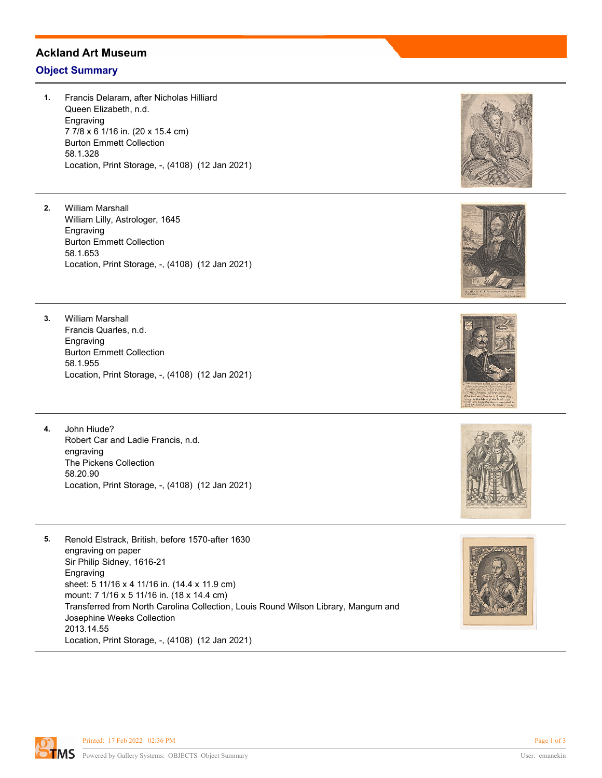## **Ackland Art Museum**

## **Object Summary**

- **1.** Francis Delaram, after Nicholas Hilliard Queen Elizabeth, n.d. Engraving 7 7/8 x 6 1/16 in. (20 x 15.4 cm) Burton Emmett Collection 58.1.328 Location, Print Storage, -, (4108) (12 Jan 2021)
- **2.** William Marshall William Lilly, Astrologer, 1645 Engraving Burton Emmett Collection 58.1.653 Location, Print Storage, -, (4108) (12 Jan 2021)
- **3.** William Marshall Francis Quarles, n.d. Engraving Burton Emmett Collection 58.1.955 Location, Print Storage, -, (4108) (12 Jan 2021)
- **4.** John Hiude? Robert Car and Ladie Francis, n.d. engraving The Pickens Collection 58.20.90 Location, Print Storage, -, (4108) (12 Jan 2021)
- **5.** Renold Elstrack, British, before 1570-after 1630 engraving on paper Sir Philip Sidney, 1616-21 Engraving sheet: 5 11/16 x 4 11/16 in. (14.4 x 11.9 cm) mount: 7 1/16 x 5 11/16 in. (18 x 14.4 cm) Transferred from North Carolina Collection, Louis Round Wilson Library, Mangum and Josephine Weeks Collection 2013.14.55 Location, Print Storage, -, (4108) (12 Jan 2021)











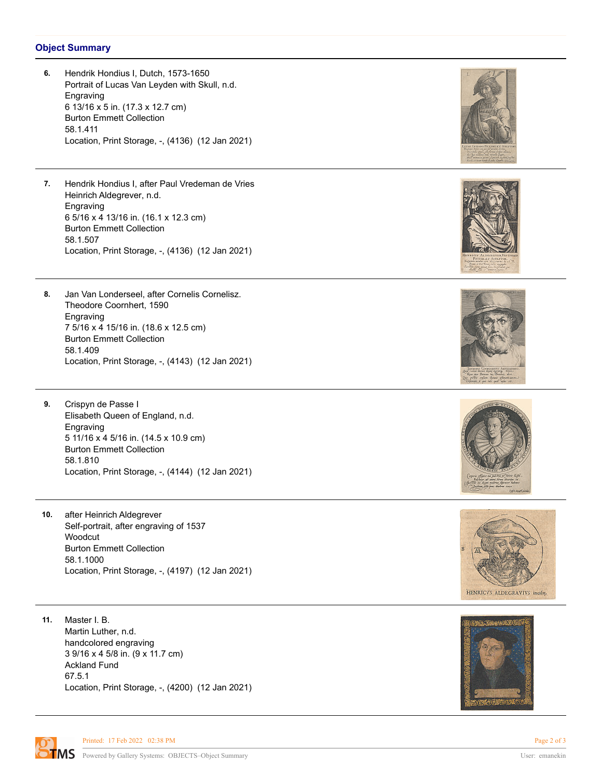## **Object Summary**

**6.** Hendrik Hondius I, Dutch, 1573-1650 Portrait of Lucas Van Leyden with Skull, n.d. Engraving 6 13/16 x 5 in. (17.3 x 12.7 cm) Burton Emmett Collection 58.1.411 Location, Print Storage, -, (4136) (12 Jan 2021) **7.** Hendrik Hondius I, after Paul Vredeman de Vries Heinrich Aldegrever, n.d. Engraving 6 5/16 x 4 13/16 in. (16.1 x 12.3 cm) Burton Emmett Collection 58.1.507 Location, Print Storage, -, (4136) (12 Jan 2021) **8.** Jan Van Londerseel, after Cornelis Cornelisz. Theodore Coornhert, 1590 Engraving 7 5/16 x 4 15/16 in. (18.6 x 12.5 cm) Burton Emmett Collection 58.1.409 Location, Print Storage, -, (4143) (12 Jan 2021) **9.** Crispyn de Passe I Elisabeth Queen of England, n.d. Engraving 5 11/16 x 4 5/16 in. (14.5 x 10.9 cm) Burton Emmett Collection 58.1.810 Location, Print Storage, -, (4144) (12 Jan 2021) **10.** after Heinrich Aldegrever Self-portrait, after engraving of 1537 Woodcut Burton Emmett Collection 58.1.1000 Location, Print Storage, -, (4197) (12 Jan 2021) HENRICVS ALDEGRAVIVS incider. **11.** Master I. B. Martin Luther, n.d. handcolored engraving

3 9/16 x 4 5/8 in. (9 x 11.7 cm) Ackland Fund 67.5.1 Location, Print Storage, -, (4200) (12 Jan 2021)



Printed: 17 Feb 2022 02:38 PM Page 2 of 3